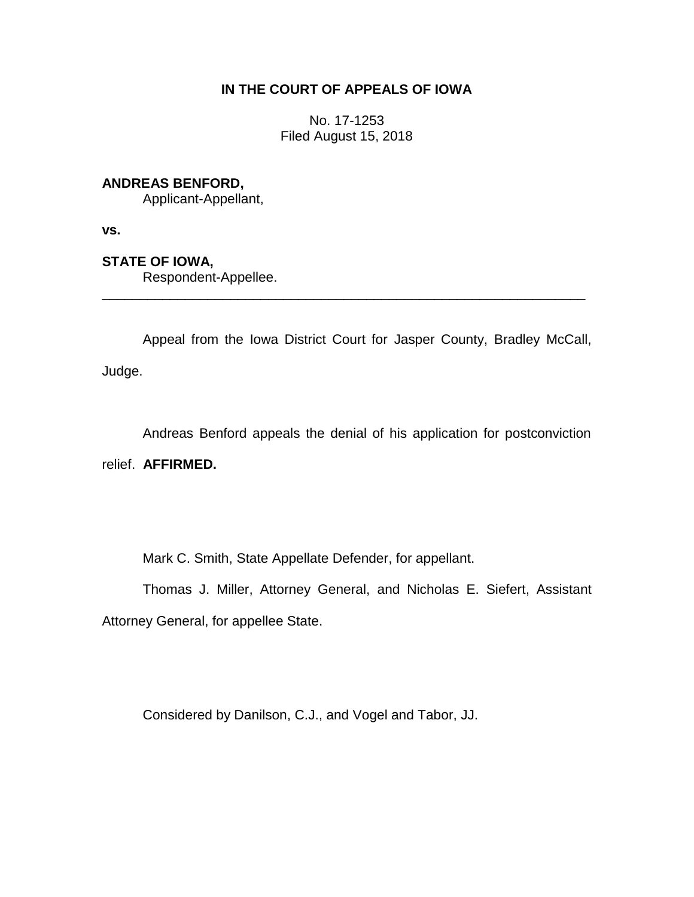## **IN THE COURT OF APPEALS OF IOWA**

No. 17-1253 Filed August 15, 2018

## **ANDREAS BENFORD,**

Applicant-Appellant,

**vs.**

## **STATE OF IOWA,**

Respondent-Appellee.

Appeal from the Iowa District Court for Jasper County, Bradley McCall, Judge.

\_\_\_\_\_\_\_\_\_\_\_\_\_\_\_\_\_\_\_\_\_\_\_\_\_\_\_\_\_\_\_\_\_\_\_\_\_\_\_\_\_\_\_\_\_\_\_\_\_\_\_\_\_\_\_\_\_\_\_\_\_\_\_\_

Andreas Benford appeals the denial of his application for postconviction relief. **AFFIRMED.**

Mark C. Smith, State Appellate Defender, for appellant.

Thomas J. Miller, Attorney General, and Nicholas E. Siefert, Assistant Attorney General, for appellee State.

Considered by Danilson, C.J., and Vogel and Tabor, JJ.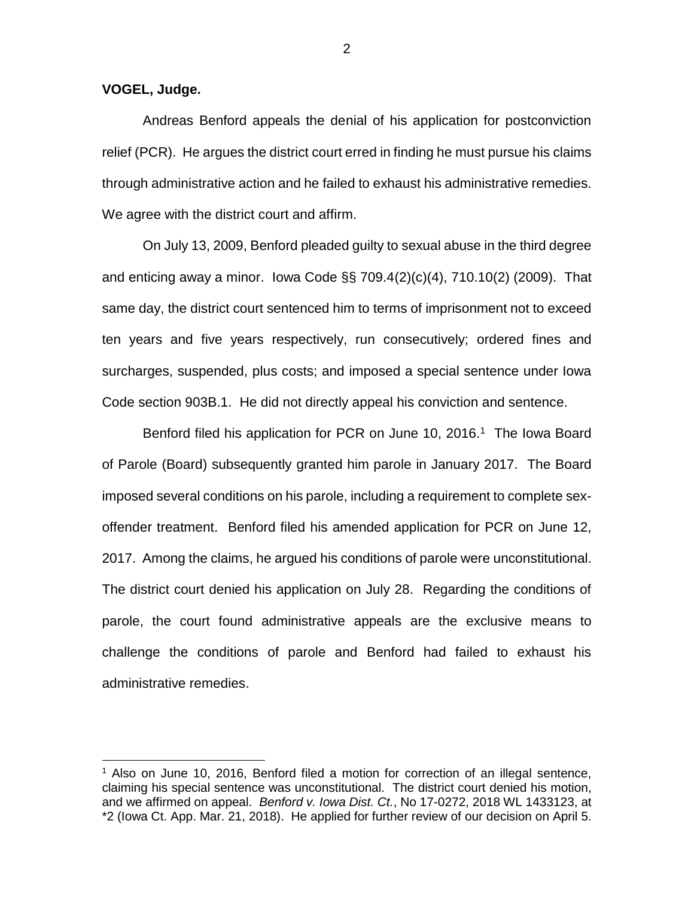**VOGEL, Judge.**

 $\overline{a}$ 

Andreas Benford appeals the denial of his application for postconviction relief (PCR). He argues the district court erred in finding he must pursue his claims through administrative action and he failed to exhaust his administrative remedies. We agree with the district court and affirm.

On July 13, 2009, Benford pleaded guilty to sexual abuse in the third degree and enticing away a minor. Iowa Code §§ 709.4(2)(c)(4), 710.10(2) (2009). That same day, the district court sentenced him to terms of imprisonment not to exceed ten years and five years respectively, run consecutively; ordered fines and surcharges, suspended, plus costs; and imposed a special sentence under Iowa Code section 903B.1. He did not directly appeal his conviction and sentence.

Benford filed his application for PCR on June 10, 2016.<sup>1</sup> The Iowa Board of Parole (Board) subsequently granted him parole in January 2017. The Board imposed several conditions on his parole, including a requirement to complete sexoffender treatment. Benford filed his amended application for PCR on June 12, 2017. Among the claims, he argued his conditions of parole were unconstitutional. The district court denied his application on July 28. Regarding the conditions of parole, the court found administrative appeals are the exclusive means to challenge the conditions of parole and Benford had failed to exhaust his administrative remedies.

<sup>&</sup>lt;sup>1</sup> Also on June 10, 2016, Benford filed a motion for correction of an illegal sentence, claiming his special sentence was unconstitutional. The district court denied his motion, and we affirmed on appeal. *Benford v. Iowa Dist. Ct.*, No 17-0272, 2018 WL 1433123, at \*2 (Iowa Ct. App. Mar. 21, 2018). He applied for further review of our decision on April 5.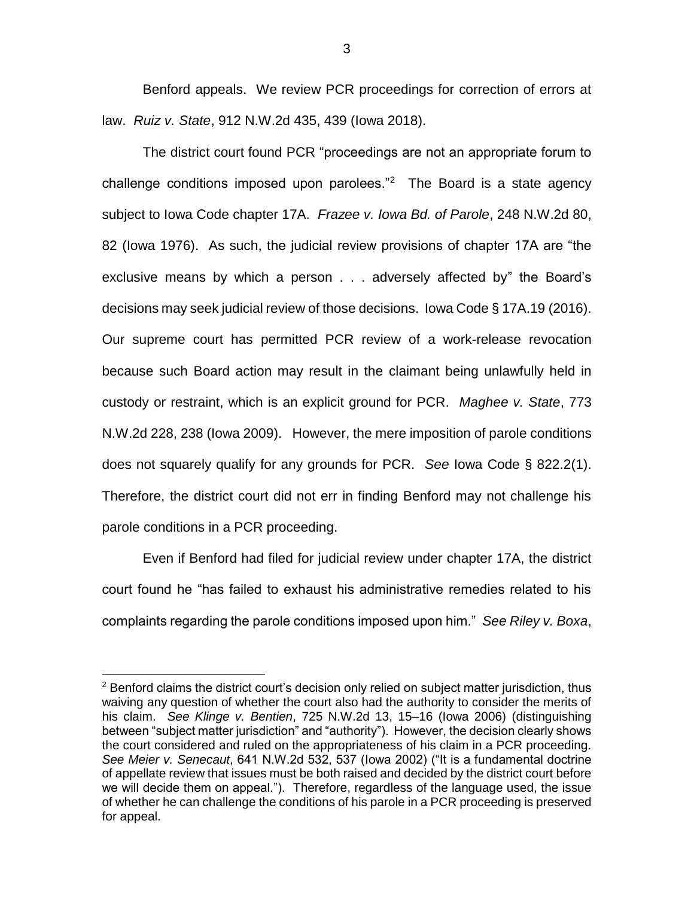Benford appeals. We review PCR proceedings for correction of errors at law. *Ruiz v. State*, 912 N.W.2d 435, 439 (Iowa 2018).

The district court found PCR "proceedings are not an appropriate forum to challenge conditions imposed upon parolees."<sup>2</sup> The Board is a state agency subject to Iowa Code chapter 17A. *Frazee v. Iowa Bd. of Parole*, 248 N.W.2d 80, 82 (Iowa 1976). As such, the judicial review provisions of chapter 17A are "the exclusive means by which a person . . . adversely affected by" the Board's decisions may seek judicial review of those decisions. Iowa Code § 17A.19 (2016). Our supreme court has permitted PCR review of a work-release revocation because such Board action may result in the claimant being unlawfully held in custody or restraint, which is an explicit ground for PCR. *Maghee v. State*, 773 N.W.2d 228, 238 (Iowa 2009). However, the mere imposition of parole conditions does not squarely qualify for any grounds for PCR. *See* Iowa Code § 822.2(1). Therefore, the district court did not err in finding Benford may not challenge his parole conditions in a PCR proceeding.

Even if Benford had filed for judicial review under chapter 17A, the district court found he "has failed to exhaust his administrative remedies related to his complaints regarding the parole conditions imposed upon him." *See Riley v. Boxa*,

 $\overline{a}$ 

 $2$  Benford claims the district court's decision only relied on subject matter jurisdiction, thus waiving any question of whether the court also had the authority to consider the merits of his claim. *See Klinge v. Bentien*, 725 N.W.2d 13, 15–16 (Iowa 2006) (distinguishing between "subject matter jurisdiction" and "authority"). However, the decision clearly shows the court considered and ruled on the appropriateness of his claim in a PCR proceeding. *See Meier v. Senecaut*, 641 N.W.2d 532, 537 (Iowa 2002) ("It is a fundamental doctrine of appellate review that issues must be both raised and decided by the district court before we will decide them on appeal."). Therefore, regardless of the language used, the issue of whether he can challenge the conditions of his parole in a PCR proceeding is preserved for appeal.